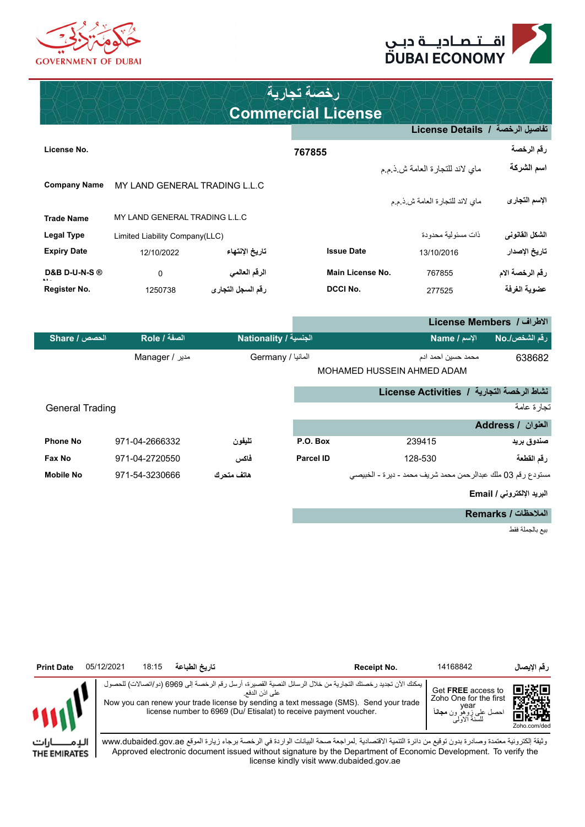



### **Commercial License رخصة تجارية**

|                          |                                |                   |                         | تفاصيل الرخصة  /  License Details |                 |
|--------------------------|--------------------------------|-------------------|-------------------------|-----------------------------------|-----------------|
| License No.              |                                |                   | 767855                  |                                   | رقم الرخصة      |
|                          |                                |                   |                         | ماي لاند للتجارة العامة ش ذمم     | اسم الشركة      |
| <b>Company Name</b>      | MY LAND GENERAL TRADING L.L.C  |                   |                         |                                   |                 |
|                          |                                |                   |                         | ماي لاند للتجارة العامة ش ذم م    | الإسم التجارى   |
| <b>Trade Name</b>        | MY LAND GENERAL TRADING L.L.C  |                   |                         |                                   |                 |
| Legal Type               | Limited Liability Company(LLC) |                   |                         | ذات مسئو لية محدودة               | الشكل الفانوني  |
| <b>Expiry Date</b>       | 12/10/2022                     | تاريخ الإنتهاء    | <b>Issue Date</b>       | 13/10/2016                        | تاريخ الإصدار   |
| <b>D&amp;B D-U-N-S ®</b> | $\mathbf 0$                    | الرقم العالمي     | <b>Main License No.</b> | 767855                            | رقم الرخصة الام |
| Register No.             | 1250738                        | رقم السجل التجارى | <b>DCCI No.</b>         | 277525                            | عضوية الغرفة    |

**License Members / الطراف رقم الشخص./No السم / Name الجنسية / Nationality الصفة / Role الحصص / Share** 638682 محمد حسين احمد ادم المانيا / Germany مدير / Manager

MOHAMED HUSSEIN AHMED ADAM

#### **نشاط الرخصة التجارية / Activities License**

| <b>General Trading</b> |                |             |                  |                                                             | نجار ة عامة       |
|------------------------|----------------|-------------|------------------|-------------------------------------------------------------|-------------------|
|                        |                |             |                  |                                                             | العنوان / Address |
| <b>Phone No</b>        | 971-04-2666332 | تليفون      | P.O. Box         | 239415                                                      | صندوق بريد        |
| Fax No                 | 971-04-2720550 | فاكس        | <b>Parcel ID</b> | 128-530                                                     | رقم القطعة        |
| <b>Mobile No</b>       | 971-54-3230666 | هاتف متحر ك |                  | مستودع رقم 03 ملك عبدالرحمن محمد شريف محمد - ديرة - الخبيصي |                   |

#### **البريد اللكتروني / Email**

**الملحظات / Remarks**

بيع بالجملة فقط



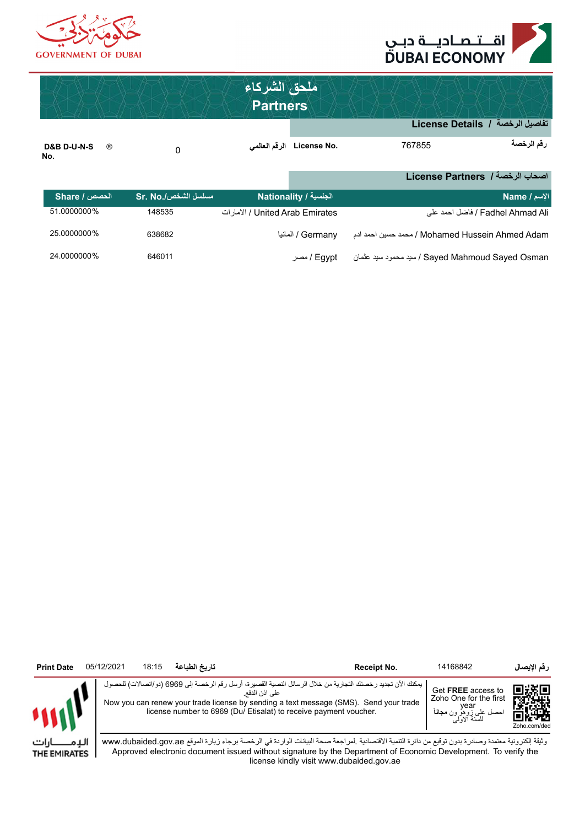



|                                                 |                     | ملحق الشركاء<br><b>Partners</b>              |                             |                                                 | تفاصيل الرخصة / License Details  |
|-------------------------------------------------|---------------------|----------------------------------------------|-----------------------------|-------------------------------------------------|----------------------------------|
| <b>D&amp;B D-U-N-S</b><br>$^{\circledR}$<br>No. | 0                   | الرقم العالمي                                | License No.                 | 767855                                          | رقم الرخصة                       |
|                                                 |                     |                                              |                             |                                                 | اصحاب الرخصة / License Partners  |
| الحصص / Share                                   | مسلسل الشخص/.Sr. No |                                              | الجنسية / Nationality       |                                                 | الإسم / Name                     |
| 51.0000000%                                     | 148535              | الامار ات / United Arab Emirates / الإمار ات |                             |                                                 | Fadhel Ahmad Ali / فاضل احمد على |
| 25.0000000%                                     | 638682              |                                              | المانيا / Germany / المانيا | Mohamed Hussein Ahmed Adam / محمد حسين احمد ادم |                                  |
| 24.0000000%                                     | 646011              |                                              | Fgypt / مصر                 | Sayed Mahmoud Sayed Osman / سيد محمود سيد عثمان |                                  |

| <b>Print Date</b> | 05/12/2021 | 18:15 | تاريخ الطباعة | Receipt No.                                                                                                                                                                                                                                                                                 | 14168842                                             | رقم الإيصال                                      |
|-------------------|------------|-------|---------------|---------------------------------------------------------------------------------------------------------------------------------------------------------------------------------------------------------------------------------------------------------------------------------------------|------------------------------------------------------|--------------------------------------------------|
|                   |            |       |               | يمكنك الآن تجديد رخصتك التجارية من خلال الرسائل النصية القصيرة، أرسل رقم الرخصة إلى 6969 (دو/اتصالات) للحصوا<br>على اذن الدفع.<br>Now you can renew your trade license by sending a text message (SMS). Send your trade<br>license number to 6969 (Du/Etisalat) to receive payment voucher. | Get FREE access to<br>Zoho One for the first<br>/ear | 画线回<br>EST SAHA<br>ster.<br>Drug<br>Zoho.com/ded |

الإمــــــــارات THE EMIRATES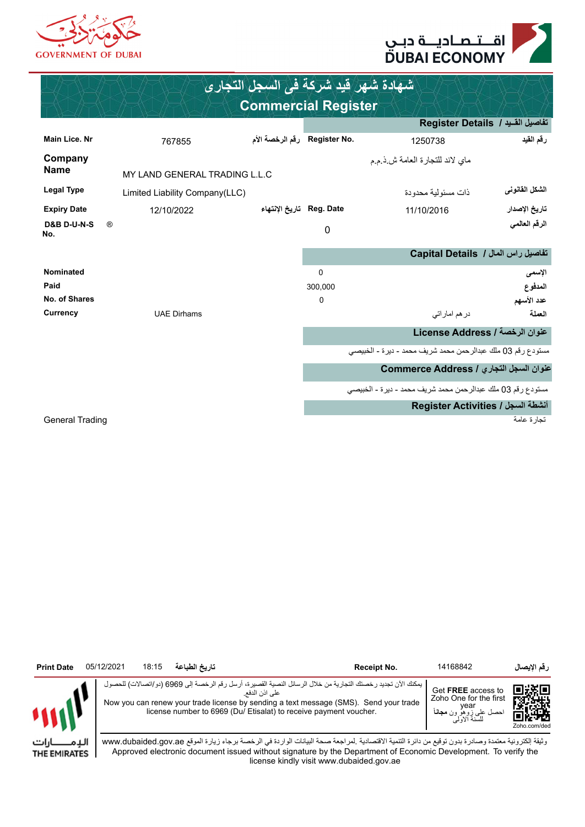



| شهادة شهر فيد شركة في السجل التجاري |                                |                              |             |                                                             |                                    |  |  |  |
|-------------------------------------|--------------------------------|------------------------------|-------------|-------------------------------------------------------------|------------------------------------|--|--|--|
|                                     |                                | <b>Commercial Register</b>   |             |                                                             |                                    |  |  |  |
|                                     |                                |                              |             |                                                             | تفاصيل القـيد / Register Details   |  |  |  |
| Main Lice. Nr                       | 767855                         | .Register No رقم الرخصة الأم |             | 1250738                                                     | رقم القيد                          |  |  |  |
| Company                             |                                |                              |             | ماي لاند للتجارة العامة ش ذ م م                             |                                    |  |  |  |
| <b>Name</b>                         | MY LAND GENERAL TRADING L.L.C  |                              |             |                                                             |                                    |  |  |  |
| <b>Legal Type</b>                   | Limited Liability Company(LLC) |                              |             | ذات مسئو لية محدودة                                         | الشكل القانوني                     |  |  |  |
| <b>Expiry Date</b>                  | 12/10/2022                     | Reg. Date   تاريخ الإنتهاء   |             | 11/10/2016                                                  | تاريخ الإصدار                      |  |  |  |
| <b>D&amp;B D-U-N-S</b><br>No.       | $^{\circledR}$                 |                              | 0           |                                                             | الرقم العالمي                      |  |  |  |
|                                     |                                |                              |             |                                                             | تفاصيل راس المال / Capital Details |  |  |  |
| Nominated                           |                                |                              | $\Omega$    |                                                             | الأسمى                             |  |  |  |
| Paid                                |                                |                              | 300.000     |                                                             | المدفوع                            |  |  |  |
| No. of Shares                       |                                |                              | $\mathbf 0$ |                                                             | عدد الأسهم                         |  |  |  |
| Currency                            | <b>UAE Dirhams</b>             |                              |             | در هم امار اتی                                              | العملة                             |  |  |  |
|                                     |                                |                              |             |                                                             | عنوان الرخصة / License Address     |  |  |  |
|                                     |                                |                              |             | مستودع رقم 03 ملك عبدالرحمن محمد شريف محمد - ديرة - الخبيصى |                                    |  |  |  |
|                                     |                                |                              |             | عنوان السجل التجاري / Commerce Address                      |                                    |  |  |  |
|                                     |                                |                              |             | مستودع رقم 03 ملك عبدالرحمن محمد شريف محمد - ديرة - الخبيصي |                                    |  |  |  |
|                                     |                                |                              |             |                                                             | Register Activities / انشطة السجل  |  |  |  |
| <b>General Trading</b>              |                                |                              |             |                                                             | تجار ة عامة                        |  |  |  |

| <b>Print Date</b> | 05/12/2021 | 18:15 | تاريخ الطباعة | Receipt No.                                                                                                                                                                                                                                                                                 | 14168842                                                                                                  | رقم الإيصال               |
|-------------------|------------|-------|---------------|---------------------------------------------------------------------------------------------------------------------------------------------------------------------------------------------------------------------------------------------------------------------------------------------|-----------------------------------------------------------------------------------------------------------|---------------------------|
|                   |            |       |               | يمكنك الآن تجديد رخصتك التجارية من خلال الرسائل النصية القصيرة، أرسل رقم الرخصة إلى 6969 (دو/اتصالات) للحصول<br>على اذن الدفع<br>Now you can renew your trade license by sending a text message (SMS). Send your trade<br>license number to 6969 (Du/ Etisalat) to receive payment voucher. | Get FREE access to<br>Zoho One for the first<br>/ear<br><sub>ی</sub> زوهو ون <b>مجانا</b><br>للسنة الاولی | 间淡回<br>歌歌<br>Zoho.com/ded |

الإمــــــــارات THE EMIRATES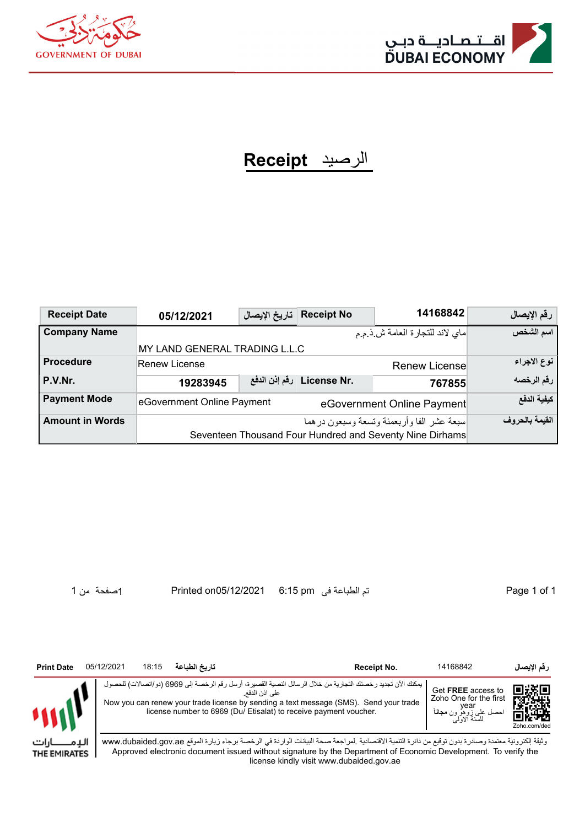



## الرصيد **Receipt**

| <b>Receipt Date</b>    | 05/12/2021                    | تاريخ الإيصال | <b>Receipt No</b>               | 14168842                                                                                               | رقم الإيصال    |
|------------------------|-------------------------------|---------------|---------------------------------|--------------------------------------------------------------------------------------------------------|----------------|
| <b>Company Name</b>    |                               |               |                                 | ماي لاند للتجارة العامة ش ذيم م                                                                        | اسم الشخص      |
|                        | MY LAND GENERAL TRADING L.L.C |               |                                 |                                                                                                        |                |
| <b>Procedure</b>       | <b>Renew License</b>          |               |                                 | <b>Renew License</b>                                                                                   | نوع الاجراء    |
| P.V.Nr.                | 19283945                      |               | .License Nr   رفَّم إذن الدفَّع | 767855                                                                                                 | رقم الرخصه     |
| <b>Payment Mode</b>    | eGovernment Online Payment    |               |                                 | eGovernment Online Payment                                                                             | كيفية الدفع    |
| <b>Amount in Words</b> |                               |               |                                 | اسبعة عشر الفا وأربعمئة وتسعة وسبعون درهما<br>Seventeen Thousand Four Hundred and Seventy Nine Dirhams | القيمة بالحروف |

1 of 1 Page تم الطباعة فى pm 6:15 05/12/2021on Printed 1صفحة من 1



ارات الدِم THE EMIRATES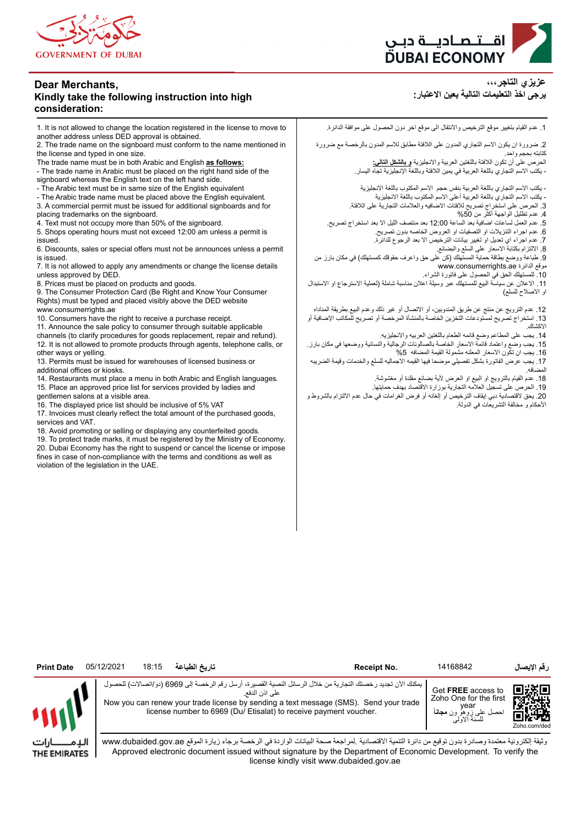

#### **Dear Merchants, Kindly take the following instruction into high consideration:**

1. It is not allowed to change the location registered in the license to move to another address unless DED approval is obtained.

2. The trade name on the signboard must conform to the name mentioned in the license and typed in one size.

The trade name must be in both Arabic and English **as follows:**

- The trade name in Arabic must be placed on the right hand side of the

signboard whereas the English text on the left hand side. - The Arabic text must be in same size of the English equivalent

- The Arabic trade name must be placed above the English equivalent.

3. A commercial permit must be issued for additional signboards and for

placing trademarks on the signboard.

4. Text must not occupy more than 50% of the signboard.

5. Shops operating hours must not exceed 12:00 am unless a permit is issued.

6. Discounts, sales or special offers must not be announces unless a permit is issued.

7. It is not allowed to apply any amendments or change the license details unless approved by DED.

8. Prices must be placed on products and goods.

9. The Consumer Protection Card (Be Right and Know Your Consumer Rights) must be typed and placed visibly above the DED website www.consumerrights.ae

10. Consumers have the right to receive a purchase receipt.

11. Announce the sale policy to consumer through suitable applicable channels (to clarify procedures for goods replacement, repair and refund). 12. It is not allowed to promote products through agents, telephone calls, or other ways or yelling.

13. Permits must be issued for warehouses of licensed business or additional offices or kiosks.

14. Restaurants must place a menu in both Arabic and English languages. 15. Place an approved price list for services provided by ladies and

gentlemen salons at a visible area. 16. The displayed price list should be inclusive of 5% VAT

17. Invoices must clearly reflect the total amount of the purchased goods, services and VAT.

18. Avoid promoting or selling or displaying any counterfeited goods.

19. To protect trade marks, it must be registered by the Ministry of Economy. 20. Dubai Economy has the right to suspend or cancel the license or impose fines in case of non-compliance with the terms and conditions as well as violation of the legislation in the UAE.



**عزيزي التاجر،،، يرجى اخذ التعليمات التالية بعين العتبار:**

.1 عدم القيام بتغيير موقع الترخيص والنتقال الى موقع اخر دون الحصول على موافقة الدائرة.

.2 ضرورة ان يكون السم التجاري المدون على اللفتة مطابق للسم المدون بالرخصة مع ضرورة كتابته بحجم واحد.

الحرص على أن تكون اللفتة باللغتين العربية والنجليزية **و بالشكل التالي:** - يكتب السم التجاري باللغة العربية في يمين اللفتة وباللغة النجليزية تجاه اليسار.

- يكتب السم التجاري باللغة العربية بنفس حجم السم المكتوب باللغة النجليزية - يكتب السم التجاري باللغة العربية أعلى السم المكتوب باللغة النجليزية

.3 الحرص على استخراج تصريح للفتات الضافيه والعلمات التجارية على اللفتة.

.4 عدم تظليل الواجهة أكثر من %50

.5 عدم العمل لساعات اضافية بعد الساعة 12:00 بعد منتصف الليل ال بعد استخراج تصريح.

.6 عدم اجراء التنزيلت او التصفيات او العروض الخاصه بدون تصريح.

.7 عدم اجراء اي تعديل او تغيير بيانات الترخيص ال بعد الرجوع للدائرة.

.<br>8 الالتزام بكتابة الاسعار على السلع والبضائع.

.9 طباعة ووضع بطاقة حماية المستهلك (كن على حق واعرف حقوقك كمستهلك) في مكان بارز من www.consumerrights.ae الدائرة موقع

.10 للمستهلك الحق في الحصول على فاتورة الشراء.

11 ـ الاعلان عن سياسة البيع للمستهلك عبر وسيلة اعلان مناسبة شاملة (لعملية الاسترجاع او الاستبدال او الصلح للسلع)

.12 عدم الترويج عن منتج عن طريق المندوبين، أو التصال أو غير ذلك وعدم البيع بطريقة المناداه .13 استخراج تصريح لمستودعات التخزين الخاصة بالمنشأة المرخصة أو تصريح للمكاتب الضافية أو الكشاك.

.14 يجب على المطاعم وضع قائمه الطعام باللغتين العربيه والنجليزيه.

.15 يجب وضع واعتماد قائمة السعار الخاصة بالصالونات الرجالية والنسائية ووضعها في مكان بارز. .16 يجب ان تكون السعار المعلنه مشمولة القيمة المضافه %5

.17 يجب عرض الفاتورة بشكل تفصيلي موضحا فيها القيمه الجماليه للسلع والخدمات وقيمة الضريبه المضافه.

18 ـ عدم القيام بالترويج او البيع او العرض لأية بضائع مقلدة أو مغشوشة.

.19 الحرص على تسجيل العلمه التجارية بوزارة القتصاد بهدف حمايتها.

.20 يحق لقتصادية دبي إيقاف الترخيص أو إلغائه أو فرض الغرامات في حال عدم اللتزام بالشروط و الحكام و مخالفة التشريعات في الدولة.

| <b>Print Date</b> | 05/12/2021 | 18:15 | تاريخ الطباعة | Receipt No.                                                                                                                                                                                                                                                                                 | 14168842                                     | رقم الإيصال                 |
|-------------------|------------|-------|---------------|---------------------------------------------------------------------------------------------------------------------------------------------------------------------------------------------------------------------------------------------------------------------------------------------|----------------------------------------------|-----------------------------|
|                   |            |       |               | يمكنك الأن تجديد رخصتك التجارية من خلال الرسائل النصية القصيرة، أرسل رقم الرخصة إلى 6969 (دو/اتصالات) للحصوإ<br>على اذن الدفع<br>Now you can renew your trade license by sending a text message (SMS). Send your trade<br>license number to 6969 (Du/ Etisalat) to receive payment voucher. | Get FREE access to<br>Zoho One for the first | 鳳凝県<br>i en<br>Zoho.com/ded |

الدِمـ ـا،ات THE EMIRATES